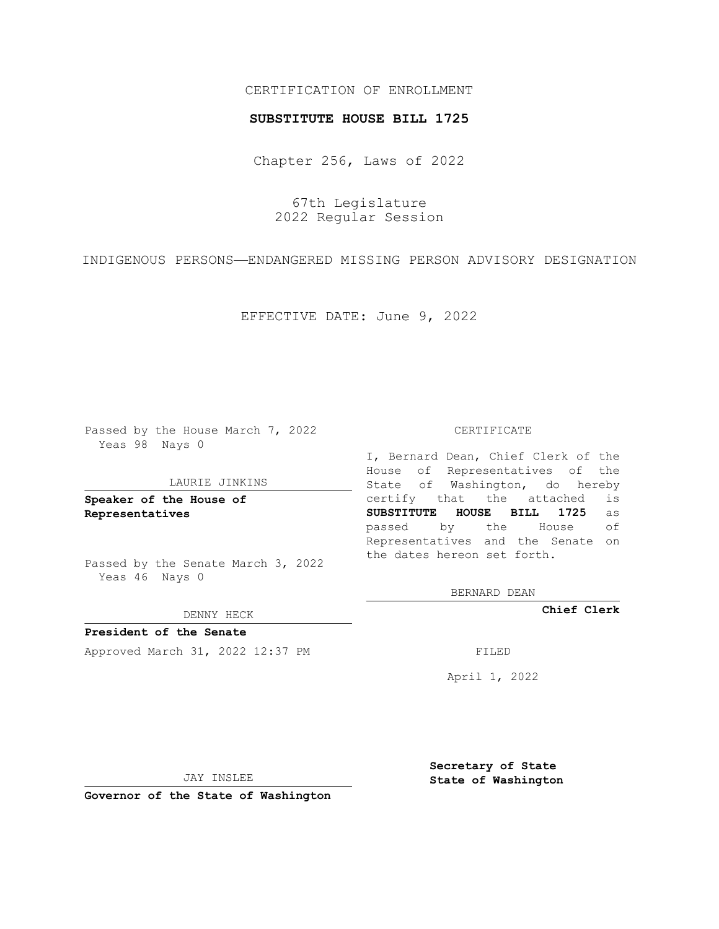## CERTIFICATION OF ENROLLMENT

### **SUBSTITUTE HOUSE BILL 1725**

Chapter 256, Laws of 2022

67th Legislature 2022 Regular Session

INDIGENOUS PERSONS—ENDANGERED MISSING PERSON ADVISORY DESIGNATION

EFFECTIVE DATE: June 9, 2022

Passed by the House March 7, 2022 Yeas 98 Nays 0

#### LAURIE JINKINS

**Speaker of the House of Representatives**

Passed by the Senate March 3, 2022 Yeas 46 Nays 0

DENNY HECK

**President of the Senate** Approved March 31, 2022 12:37 PM FILED

CERTIFICATE

I, Bernard Dean, Chief Clerk of the House of Representatives of the State of Washington, do hereby certify that the attached is **SUBSTITUTE HOUSE BILL 1725** as passed by the House of Representatives and the Senate on the dates hereon set forth.

BERNARD DEAN

**Chief Clerk**

April 1, 2022

JAY INSLEE

**Governor of the State of Washington**

**Secretary of State State of Washington**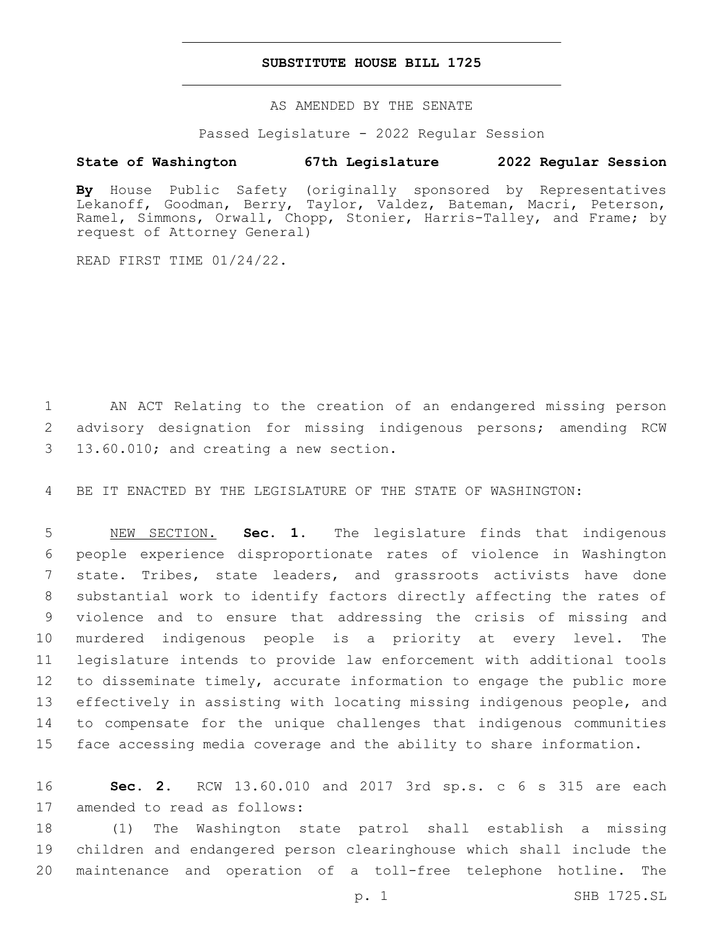## **SUBSTITUTE HOUSE BILL 1725**

AS AMENDED BY THE SENATE

Passed Legislature - 2022 Regular Session

# **State of Washington 67th Legislature 2022 Regular Session**

**By** House Public Safety (originally sponsored by Representatives Lekanoff, Goodman, Berry, Taylor, Valdez, Bateman, Macri, Peterson, Ramel, Simmons, Orwall, Chopp, Stonier, Harris-Talley, and Frame; by request of Attorney General)

READ FIRST TIME 01/24/22.

1 AN ACT Relating to the creation of an endangered missing person 2 advisory designation for missing indigenous persons; amending RCW 13.60.010; and creating a new section.3

4 BE IT ENACTED BY THE LEGISLATURE OF THE STATE OF WASHINGTON:

 NEW SECTION. **Sec. 1.** The legislature finds that indigenous people experience disproportionate rates of violence in Washington state. Tribes, state leaders, and grassroots activists have done substantial work to identify factors directly affecting the rates of violence and to ensure that addressing the crisis of missing and murdered indigenous people is a priority at every level. The legislature intends to provide law enforcement with additional tools to disseminate timely, accurate information to engage the public more effectively in assisting with locating missing indigenous people, and to compensate for the unique challenges that indigenous communities face accessing media coverage and the ability to share information.

16 **Sec. 2.** RCW 13.60.010 and 2017 3rd sp.s. c 6 s 315 are each 17 amended to read as follows:

18 (1) The Washington state patrol shall establish a missing 19 children and endangered person clearinghouse which shall include the 20 maintenance and operation of a toll-free telephone hotline. The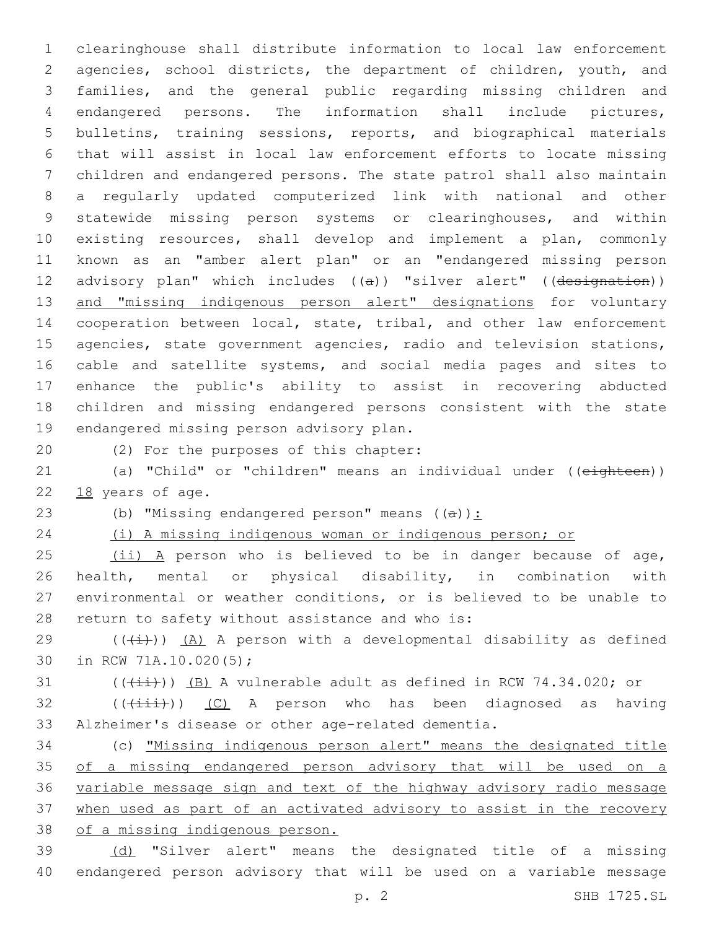clearinghouse shall distribute information to local law enforcement agencies, school districts, the department of children, youth, and families, and the general public regarding missing children and endangered persons. The information shall include pictures, bulletins, training sessions, reports, and biographical materials that will assist in local law enforcement efforts to locate missing children and endangered persons. The state patrol shall also maintain a regularly updated computerized link with national and other statewide missing person systems or clearinghouses, and within existing resources, shall develop and implement a plan, commonly known as an "amber alert plan" or an "endangered missing person 12 advisory plan" which includes ((a)) "silver alert" ((designation)) 13 and "missing indigenous person alert" designations for voluntary cooperation between local, state, tribal, and other law enforcement agencies, state government agencies, radio and television stations, cable and satellite systems, and social media pages and sites to enhance the public's ability to assist in recovering abducted children and missing endangered persons consistent with the state 19 endangered missing person advisory plan.

20 (2) For the purposes of this chapter:

21 (a) "Child" or "children" means an individual under ((eighteen)) 22 18 years of age.

23 (b) "Missing endangered person" means  $((a))$ :

(i) A missing indigenous woman or indigenous person; or

25 (ii) A person who is believed to be in danger because of age, health, mental or physical disability, in combination with environmental or weather conditions, or is believed to be unable to 28 return to safety without assistance and who is:

29 ( $(\frac{1}{1})$ ) (A) A person with a developmental disability as defined 30 in RCW 71A.10.020(5);

(( $(i+i)$ )) (B) A vulnerable adult as defined in RCW 74.34.020; or

 (( $(i\text{iii})$ ) (C) A person who has been diagnosed as having Alzheimer's disease or other age-related dementia.

 (c) "Missing indigenous person alert" means the designated title of a missing endangered person advisory that will be used on a variable message sign and text of the highway advisory radio message when used as part of an activated advisory to assist in the recovery of a missing indigenous person.

 (d) "Silver alert" means the designated title of a missing endangered person advisory that will be used on a variable message